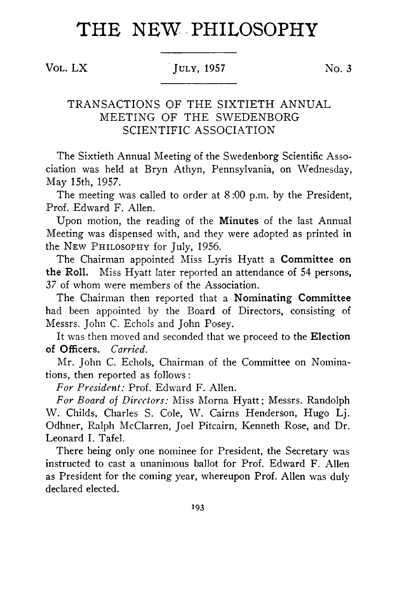# THE NEW PHILOSOPHY

**V ol.** L X **Ju ly, 1957** No. **3**

# TRANSACTIONS OF THE SIXTIETH ANNUAL MEETING OF THE SWEDENBORG SCIENTIFIC ASSOCIATION

The Sixtieth Annual Meeting of the Swedenborg Scientific Association was held at Bryn Athyn, Pennsylvania, on Wednesday, May 15th, 1957.

The meeting was called to order at **8** :00 p.m. by the President, Prof. Edward F. Allen.

Upon motion, the reading of the Minutes of the last Annual Meeting was dispensed with, and they were adopted as printed in the NEW PHILOSOPHY for July, 1956.

The Chairman appointed Miss Lyris Hyatt a Committee on the Roll. Miss Hyatt later reported an attendance of 54 persons, 37 of whom were members of the Association.

The Chairman then reported that a Nominating Committee had been appointed by the Board of Directors, consisting of Messrs. John C. Echols and John Posey.

It was then moved and seconded that we proceed to the Election of Officers. *Carried.*

Mr. John C. Echols, Chairman of the Committee on Nominations, then reported as follows :

*For President:* Prof. Edward F. Allen.

*For Board of Directors:* Miss Morna Hyatt; Messrs. Randolph W. Childs, Charles S. Cole, W. Cairns Henderson, Hugo Lj. Odhner, Ralph McClarren, Joel Pitcairn, Kenneth Rose, and Dr. Leonard I. Tafel.

There being only one nominee for President, the Secretary was instructed to cast a unanimous ballot for Prof. Edward F. Allen as President for the coming year, whereupon Prof. Allen was duly declared elected.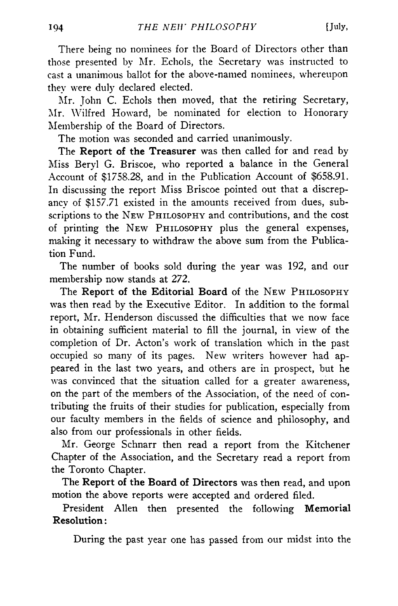There being no nominees for the Board of Directors other than those presented by Mr. Echols, the Secretary was instructed to cast a unanimous ballot for the above-named nominees, whereupon they were duly declared elected.

Mr. John C. Echols then moved, that the retiring Secretary, Mr. Wilfred Howard, be nominated for election to Honorary Membership of the Board of Directors.

The motion was seconded and carried unanimously.

The **Report of the Treasurer** was then called for and read by Miss Beryl G. Briscoe, who reported a balance in the General Account of \$1758.28, and in the Publication Account of \$658.91. In discussing the report Miss Briscoe pointed out that a discrepancy of \$157.71 existed in the amounts received from dues, subscriptions to the NEW PHILOSOPHY and contributions, and the cost of printing the NEW PHILOSOPHY plus the general expenses, making it necessary to withdraw the above sum from the Publication Fund.

The number of books sold during the year was 192, and our membership now stands at 272.

The **Report of the Editorial Board** of the **N ew P hilosophy** was then read by the Executive Editor. In addition to the formal report, Mr. Henderson discussed the difficulties that we now face in obtaining sufficient material to fill the journal, in view of the completion of Dr. Acton's work of translation which in the past occupied so many of its pages. New writers however had appeared in the last two years, and others are in prospect, but he was convinced that the situation called for a greater awareness, on the part of the members of the Association, of the need of contributing the fruits of their studies for publication, especially from our faculty members in the fields of science and philosophy, and also from our professionals in other fields.

Mr. George Schnarr then read a report from the Kitchener Chapter of the Association, and the Secretary read a report from the Toronto Chapter.

The **Report of the Board of Directors** was then read, and upon motion the above reports were accepted and ordered filed.

President Allen then presented the following **Memorial Resolution:**

During the past year one has passed from our midst into the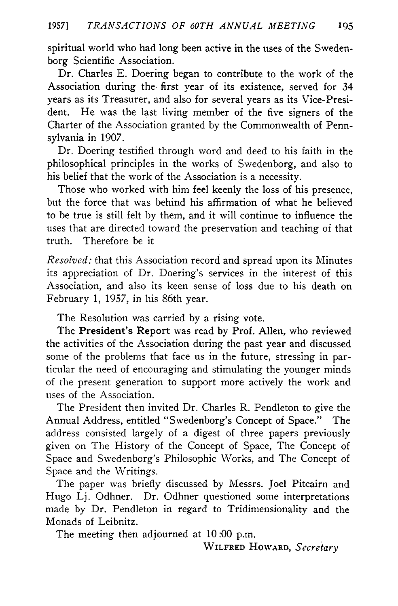spiritual world who had long been active in the uses of the Swedenborg Scientific Association.

Dr. Charles E. Doering began to contribute to the work of the Association during the first year of its existence, served for 34 years as its Treasurer, and also for several years as its Vice-President. He was the last living member of the five signers of the Charter of the Association granted by the Commonwealth of Pennsylvania in 1907.

Dr. Doering testified through word and deed to his faith in the philosophical principles in the works of Swedenborg, and also to his belief that the work of the Association is a necessity.

Those who worked with him feel keenly the loss of his presence, but the force that was behind his affirmation of what he believed to be true is still felt by them, and it will continue to influence the uses that are directed toward the preservation and teaching of that truth. Therefore be it

*Resolved:* that this Association record and spread upon its Minutes its appreciation of Dr. Doering's services in the interest of this Association, and also its keen sense of loss due to his death on February 1, 1957, in his **86**th year.

The Resolution was carried by a rising vote.

The President's Report was read by Prof. Allen, who reviewed the activities of the Association during the past year and discussed some of the problems that face us in the future, stressing in particular the need of encouraging and stimulating the younger minds of the present generation to support more actively the work and uses of the Association.

The President then invited Dr. Charles R. Pendleton to give the Annual Address, entitled "Swedenborg's Concept of Space." The address consisted largely of a digest of three papers previously given on The History of the Concept of Space, The Concept of Space and Swedenborg's Philosophic Works, and The Concept of Space and the Writings.

The paper was briefly discussed by Messrs. Joel Pitcairn and Hugo Lj. Odhner. Dr. Odhner questioned some interpretations made by Dr. Pendleton in regard to Tridimensionality and the Monads of Leibnitz.

The meeting then adjourned at 10:00 p.m.

**W ilfred H oward,** *Secretary*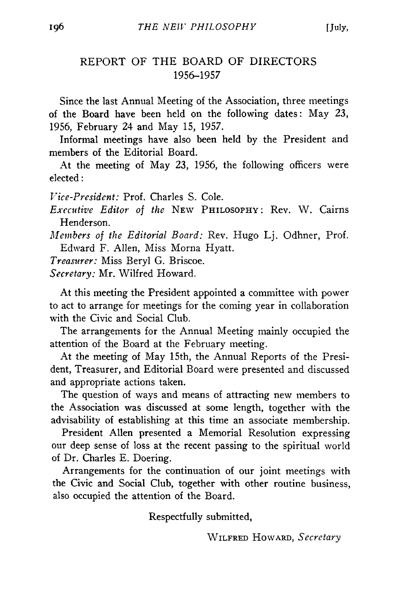# REPORT OF THE BOARD OF DIRECTORS 1956-1957

Since the last Annual Meeting of the Association, three meetings of the Board have been held on the following dates: May 23, 1956, February 24 and May 15, 1957.

Informal meetings have also been held by the President and members of the Editorial Board.

At the meeting of May 23, 1956, the following officers were elected:

*Vice-President:* Prof. Charles S. Cole.

*Executive Editor of the* **N ew Philosophy:** Rev. W . Cairns Henderson.

*Members of the Editorial Board:* Rev. Hugo Lj. Odhner, Prof. Edward F. Allen, Miss Morna Hyatt.

*Treasurer:* Miss Beryl G. Briscoe.

*Secretary:* Mr. Wilfred Howard.

At this meeting the President appointed a committee with power to act to arrange for meetings for the coming year in collaboration with the Civic and Social Club.

The arrangements for the Annual Meeting mainly occupied the attention of the Board at the February meeting.

At the meeting of May 15th, the Annual Reports of the President, Treasurer, and Editorial Board were presented and discussed and appropriate actions taken.

The question of ways and means of attracting new members to the Association was discussed at some length, together with the advisability of establishing at this time an associate membership.

President Allen presented a Memorial Resolution expressing our deep sense of loss at the recent passing to the spiritual world of Dr. Charles E. Doering.

Arrangements for the continuation of our joint meetings with the Civic and Social Club, together with other routine business, also occupied the attention of the Board.

Respectfully submitted,

**W ilfred H oward,** *Secretary*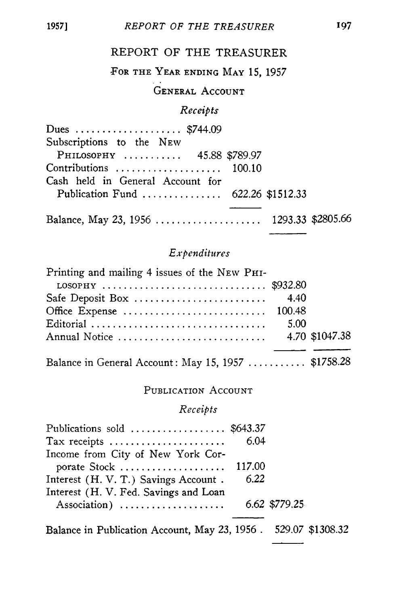### REPORT OF THE TREASURER

# FOR THE YEAR ENDING MAY 15, 1957

# **GENERAL ACCOUNT**

### Receipts

| Dues  \$744.09                           |  |
|------------------------------------------|--|
| Subscriptions to the NEW                 |  |
| PHILOSOPHY  45.88 \$789.97               |  |
| Contributions $100.10$                   |  |
| Cash held in General Account for         |  |
| Publication Fund  622.26 \$1512.33       |  |
|                                          |  |
| Balance, May 23, 1956  1293.33 \$2805.66 |  |

### Expenditures

| Printing and mailing 4 issues of the NEW PHI-                                            |      |  |
|------------------------------------------------------------------------------------------|------|--|
| LOSOPHY $\ldots \ldots \ldots \ldots \ldots \ldots \ldots \ldots \ldots \ldots$ \$932.80 |      |  |
|                                                                                          |      |  |
|                                                                                          |      |  |
|                                                                                          | 5.00 |  |
|                                                                                          |      |  |
|                                                                                          |      |  |

Balance in General Account: May 15, 1957 ........... \$1758.28

### PUBLICATION ACCOUNT

### Receipts

| Publications sold  \$643.37           |      |               |
|---------------------------------------|------|---------------|
| Tax receipts                          | 6.04 |               |
| Income from City of New York Cor-     |      |               |
| porate Stock  117.00                  |      |               |
| Interest (H. V. T.) Savings Account.  | 6.22 |               |
| Interest (H. V. Fed. Savings and Loan |      |               |
| Association)                          |      | 6.62 \$779.25 |
|                                       |      |               |

Balance in Publication Account, May 23, 1956 . 529.07 \$1308.32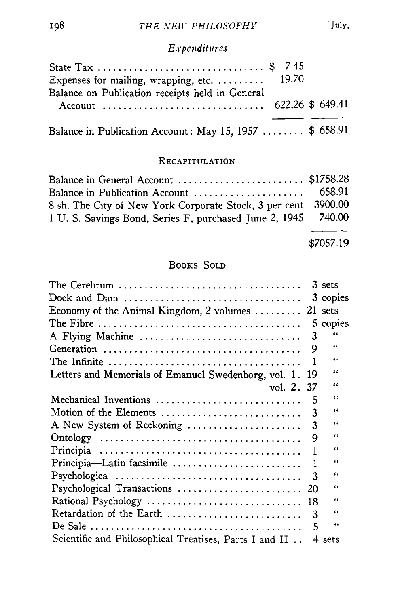# Expenditures

| State Tax  \$ 7.45                                      |  |  |
|---------------------------------------------------------|--|--|
| Expenses for mailing, wrapping, etc. $19.70$            |  |  |
| Balance on Publication receipts held in General         |  |  |
| Balance in Publication Account: May 15, 1957  \$ 658.91 |  |  |

### RECAPITULATION

| Balance in General Account  \$1758.28                          |  |
|----------------------------------------------------------------|--|
|                                                                |  |
| 8 sh. The City of New York Corporate Stock, 3 per cent 3900.00 |  |
| 1 U. S. Savings Bond, Series F, purchased June 2, 1945 740.00  |  |
|                                                                |  |

\$7057.19

## **BOOKS SOLD**

| The Cerebrum $\ldots \ldots \ldots \ldots \ldots \ldots \ldots \ldots \ldots \ldots \ldots$        |    | 3 sets   |
|----------------------------------------------------------------------------------------------------|----|----------|
|                                                                                                    |    | 3 copies |
| Economy of the Animal Kingdom, 2 volumes  21 sets                                                  |    |          |
| The Fibre $\dots\dots\dots\dots\dots\dots\dots\dots\dots\dots\dots\dots\dots\dots\dots$            |    | 5 copies |
| A Flying Machine                                                                                   | 3  | 66       |
|                                                                                                    | 9  | 66       |
| The Infinite $\ldots \ldots \ldots \ldots \ldots \ldots \ldots \ldots \ldots \ldots \ldots \ldots$ | -1 | 66       |
| Letters and Memorials of Emanuel Swedenborg, vol. 1.                                               | 19 | 66       |
| vol. 2. 37                                                                                         |    | 66       |
| Mechanical Inventions                                                                              | -5 | 66       |
| Motion of the Elements                                                                             | 3  | 44       |
| A New System of Reckoning                                                                          | 3  | "        |
|                                                                                                    | 9  | 66       |
|                                                                                                    |    | 66       |
| Principia-Latin facsimile                                                                          | 1  | 66       |
|                                                                                                    | 3  | "        |
|                                                                                                    |    | 66       |
|                                                                                                    |    | 66       |
| Retardation of the Earth                                                                           | 3  | 66       |
|                                                                                                    | 5  | 66       |
| Scientific and Philosophical Treatises, Parts I and II                                             |    | 4 sets   |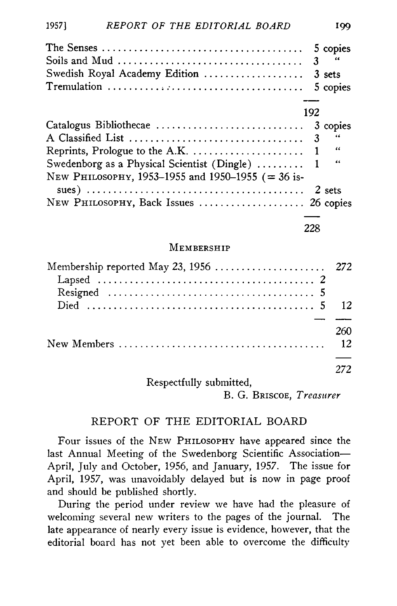|                                                   |     | 5 copies<br>$3^{\prime\prime}$ |
|---------------------------------------------------|-----|--------------------------------|
| Swedish Royal Academy Edition                     |     | 3 sets                         |
|                                                   |     | 5 copies                       |
|                                                   |     |                                |
|                                                   | 192 |                                |
| Catalogus Bibliothecae                            |     | 3 copies                       |
|                                                   |     | - 44                           |
|                                                   |     | $\ddot{\phantom{1}}$           |
| Swedenborg as a Physical Scientist (Dingle)  1    |     | 44                             |
| NEW PHILOSOPHY, 1953-1955 and 1950-1955 (= 36 is- |     |                                |
|                                                   |     |                                |
| NEW PHILOSOPHY, Back Issues  26 copies            |     |                                |
|                                                   |     |                                |
|                                                   | 228 |                                |

### MEMBERSHIP

| Membership reported May 23, 1956  272 |                  |
|---------------------------------------|------------------|
|                                       |                  |
|                                       |                  |
|                                       |                  |
|                                       |                  |
|                                       | 260              |
|                                       | $12 \frac{1}{2}$ |
|                                       |                  |
|                                       | 272.             |
| Respectfully submitted,               |                  |

B. G. BRISCOE, Treasurer

### REPORT OF THE EDITORIAL BOARD

Four issues of the NEW PHILOSOPHY have appeared since the last Annual Meeting of the Swedenborg Scientific Association-April, July and October, 1956, and January, 1957. The issue for April, 1957, was unavoidably delayed but is now in page proof and should be published shortly.

During the period under review we have had the pleasure of welcoming several new writers to the pages of the journal. The late appearance of nearly every issue is evidence, however, that the editorial board has not yet been able to overcome the difficulty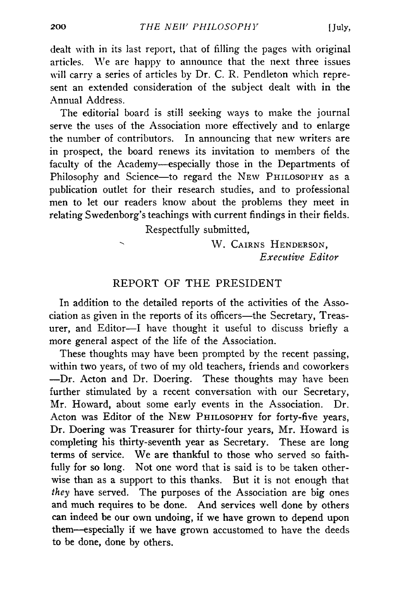dealt with in its last report, that of filling the pages with original articles. We are happy to announce that the next three issues will carry a series of articles by Dr. C. R. Pendleton which represent an extended consideration of the subject dealt with in the Annual Address.

The editorial board is still seeking ways to make the journal serve the uses of the Association more effectively and to enlarge the number of contributors. In announcing that new writers are in prospect, the board renews its invitation to members of the faculty of the Academy— especially those in the Departments of Philosophy and Science—to regard the NEW PHILOSOPHY as a publication outlet for their research studies, and to professional men to let our readers know about the problems they meet in relating Swedenborg's teachings with current findings in their fields.

Respectfully submitted,

W . **Cairns H enderson,** *Executive Editor*

### REPORT OF THE PRESIDENT

In addition to the detailed reports of the activities of the Association as given in the reports of its officers— the Secretary, Treasurer, and Editor-I have thought it useful to discuss briefly a more general aspect of the life of the Association.

These thoughts may have been prompted by the recent passing, within two years, of two of my old teachers, friends and coworkers —Dr. Acton and Dr. Doering. These thoughts may have been further stimulated by a recent conversation with our Secretary, Mr. Howard, about some early events in the Association. Dr. Acton was Editor of the NEW PHILOSOPHY for forty-five years, Dr. Doering was Treasurer for thirty-four years, Mr. Howard is completing his thirty-seventh year as Secretary. These are long terms of service. We are thankful to those who served so faithfully for so long. Not one word that is said is to be taken otherwise than as a support to this thanks. But it is not enough that *they* have served. The purposes of the Association are big ones and much requires to be done. And services well done by others can indeed be our own undoing, if we have grown to depend upon them— especially if we have grown accustomed to have the deeds to be done, done by others.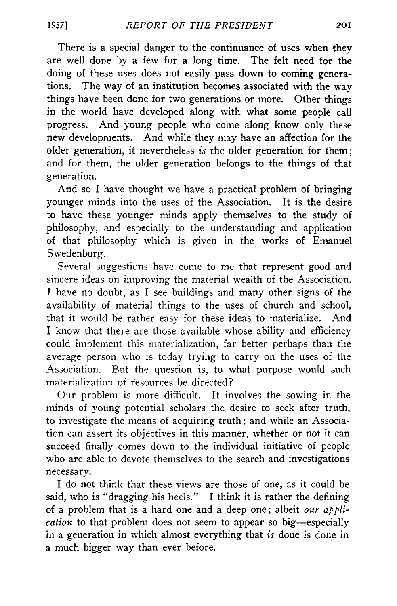There is a special danger to the continuance of uses when they are well done by a few for a long time. The felt need for the doing of these uses does not easily pass down to coming generations. The way of an institution becomes associated with the way things have been done for two generations or more. Other things in the world have developed along with what some people call progress. And young people who come along know only these new developments. And while they may have an affection for the older generation, it nevertheless *is* the older generation for them; and for them, the older generation belongs to the things of that generation.

And so I have thought we have a practical problem of bringing younger minds into the uses of the Association. It is the desire to have these younger minds apply themselves to the study of philosophy, and especially to the understanding and application of that philosophy which is given in the works of Emanuel Swedenborg.

Several suggestions have come to me that represent good and sincere ideas on improving the material wealth of the Association. I have no doubt, as I see buildings and many other signs of the availability of material things to the uses of church and school, that it would be rather easy for these ideas to materialize. And I know that there are those available whose ability and efficiency could implement this materialization, far better perhaps than the average person who is today trying to carry on the uses of the Association. But the question is, to what purpose would such materialization of resources be directed?

Our problem is more difficult. It involves the sowing in the minds of young potential scholars the desire to seek after truth, to investigate the means of acquiring truth; and while an Association can assert its objectives in this manner, whether or not it can succeed finally comes down to the individual initiative of people who are able to devote themselves to the search and investigations necessary.

I do not think that these views are those of one, as it could be said, who is "dragging his heels." I think it is rather the defining of a problem that is a hard one and a deep one; albeit *our application* to that problem does not seem to appear so big—especially in a generation in which almost everything that *is* done is done in a much bigger way than ever before.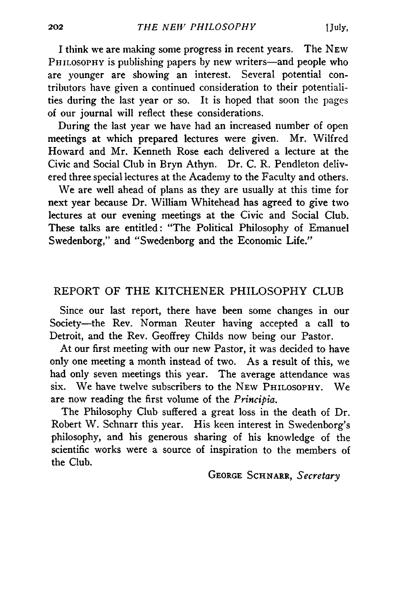I think we are making some progress in recent years. The New PHILOSOPHY is publishing papers by new writers—and people who are younger are showing an interest. Several potential contributors have given a continued consideration to their potentialities during the last year or so. It is hoped that soon the pages of our journal will reflect these considerations.

During the last year we have had an increased number of open meetings at which prepared lectures were given. Mr. Wilfred Howard and Mr. Kenneth Rose each delivered a lecture at the Civic and Social Club in Bryn Athyn. Dr. C. R. Pendleton delivered three special lectures at the Academy to the Faculty and others.

We are well ahead of plans as they are usually at this time for next year because Dr. William Whitehead has agreed to give two lectures at our evening meetings at the Civic and Social Club. These talks are entitled: "The Political Philosophy of Emanuel Swedenborg," and "Swedenborg and the Economic Life."

### REPORT OF THE KITCHENER PHILOSOPHY CLUB

Since our last report, there have been some changes in our Society— the Rev. Norman Reuter having accepted a call to Detroit, and the Rev. Geoffrey Childs now being our Pastor.

At our first meeting with our new Pastor, it was decided to have only one meeting a month instead of two. As a result of this, we had only seven meetings this year. The average attendance was six. We have twelve subscribers to the NEW PHILOSOPHY. We are now reading the first volume of the *Principia.*

The Philosophy Club suffered a great loss in the death of Dr. Robert W. Schnarr this year. His keen interest in Swedenborg's philosophy, and his generous sharing of his knowledge of the scientific works were a source of inspiration to the members of the Club.

George Schnarr, *Secretary*